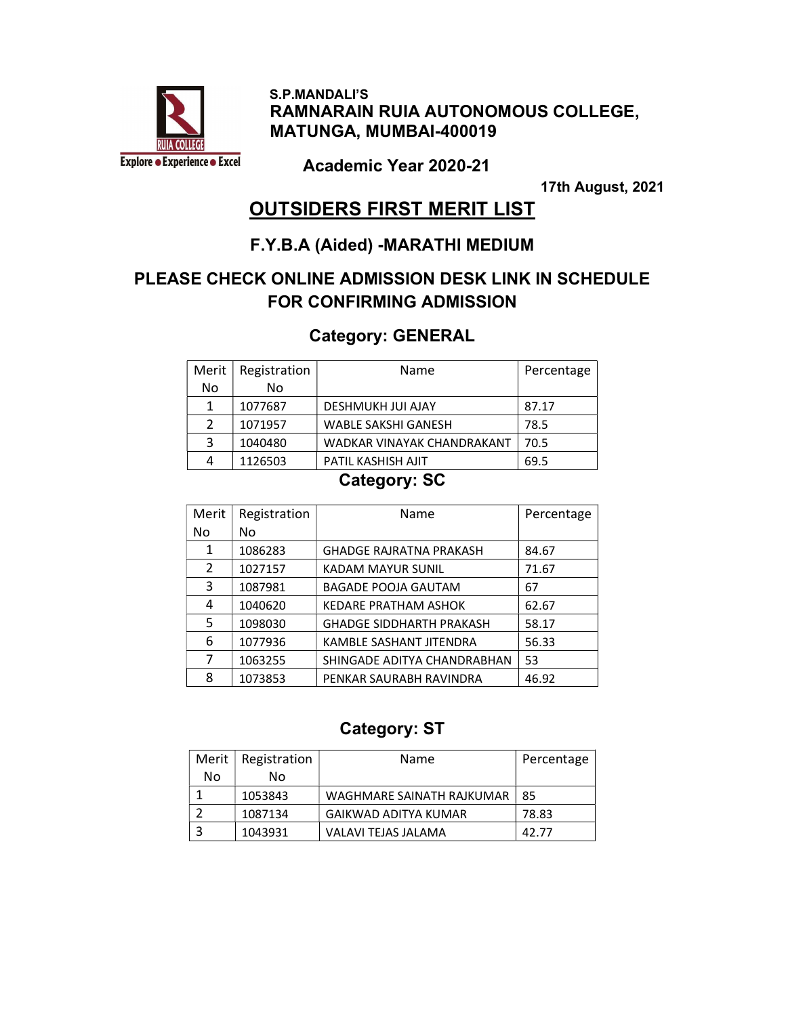

 S.P.MANDALI'S RAMNARAIN RUIA AUTONOMOUS COLLEGE, MATUNGA, MUMBAI-400019

Academic Year 2020-21

17th August, 2021

#### OUTSIDERS FIRST MERIT LIST

#### F.Y.B.A (Aided) -MARATHI MEDIUM

#### PLEASE CHECK ONLINE ADMISSION DESK LINK IN SCHEDULE FOR CONFIRMING ADMISSION

#### Category: GENERAL

| Merit          | Registration | Name                       | Percentage |
|----------------|--------------|----------------------------|------------|
| No             | No           |                            |            |
| 1              | 1077687      | DESHMUKH JUI AJAY          | 87.17      |
| $\mathfrak{p}$ | 1071957      | WABLE SAKSHI GANESH        | 78.5       |
| 3              | 1040480      | WADKAR VINAYAK CHANDRAKANT | 70.5       |
| 4              | 1126503      | PATIL KASHISH AJIT         | 69.5       |

#### Category: SC

| Merit                   | Registration | Name                            | Percentage |
|-------------------------|--------------|---------------------------------|------------|
| No                      | No.          |                                 |            |
| 1                       | 1086283      | <b>GHADGE RAJRATNA PRAKASH</b>  | 84.67      |
| $\overline{\mathbf{2}}$ | 1027157      | <b>KADAM MAYUR SUNIL</b>        | 71.67      |
| 3                       | 1087981      | <b>BAGADE POOJA GAUTAM</b>      | 67         |
| 4                       | 1040620      | KEDARE PRATHAM ASHOK            | 62.67      |
| 5                       | 1098030      | <b>GHADGE SIDDHARTH PRAKASH</b> | 58.17      |
| 6                       | 1077936      | KAMBLE SASHANT JITENDRA         | 56.33      |
| 7                       | 1063255      | SHINGADE ADITYA CHANDRABHAN     | 53         |
| 8                       | 1073853      | PENKAR SAURABH RAVINDRA         | 46.92      |

#### Category: ST

| Merit | Registration | Name                        | Percentage |
|-------|--------------|-----------------------------|------------|
| No    | N٥           |                             |            |
|       | 1053843      | WAGHMARE SAINATH RAJKUMAR   | 85         |
|       | 1087134      | <b>GAIKWAD ADITYA KUMAR</b> | 78.83      |
| 3     | 1043931      | VALAVI TEJAS JALAMA         | 42.77      |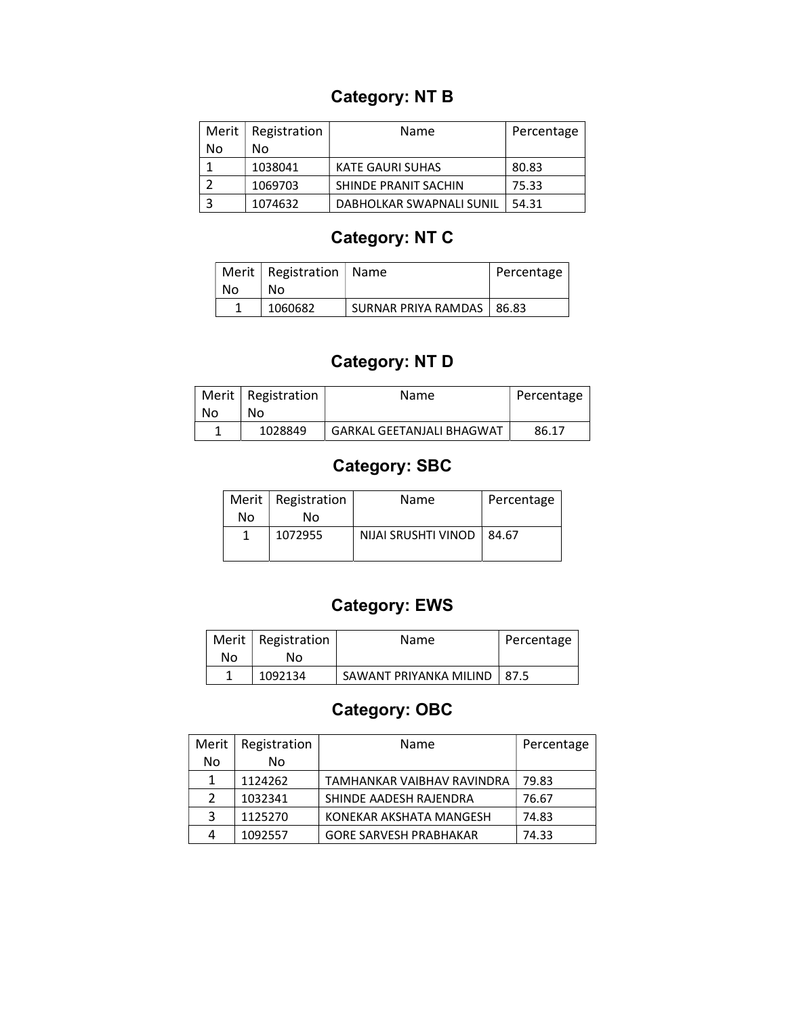## Category: NT B

|    | Merit   Registration | Name                     | Percentage |
|----|----------------------|--------------------------|------------|
| No | N٥                   |                          |            |
|    | 1038041              | <b>KATE GAURI SUHAS</b>  | 80.83      |
|    | 1069703              | SHINDE PRANIT SACHIN     | 75.33      |
|    | 1074632              | DABHOLKAR SWAPNALI SUNIL | 54.31      |

## Category: NT C

|    | Merit   Registration   Name |                             | Percentage |
|----|-----------------------------|-----------------------------|------------|
| No | Nο                          |                             |            |
|    | 1060682                     | SURNAR PRIYA RAMDAS   86.83 |            |

## Category: NT D

| No | Merit   Registration<br>Nο | Name                             | Percentage |
|----|----------------------------|----------------------------------|------------|
| 1  | 1028849                    | <b>GARKAL GEETANJALI BHAGWAT</b> | 86.17      |

### Category: SBC

|    | Merit   Registration | Name                        | Percentage |
|----|----------------------|-----------------------------|------------|
| No | N٥                   |                             |            |
|    | 1072955              | NIJAI SRUSHTI VINOD   84.67 |            |
|    |                      |                             |            |

### Category: EWS

|    | Merit   Registration | Name                          | Percentage |
|----|----------------------|-------------------------------|------------|
| No | Nο                   |                               |            |
|    | 1092134              | SAWANT PRIYANKA MILIND   87.5 |            |

## Category: OBC

| Merit | Registration | Name                          | Percentage |
|-------|--------------|-------------------------------|------------|
| No    | No           |                               |            |
| 1     | 1124262      | TAMHANKAR VAIBHAV RAVINDRA    | 79.83      |
| 2     | 1032341      | SHINDE AADESH RAJENDRA        | 76.67      |
| 3     | 1125270      | KONEKAR AKSHATA MANGESH       | 74.83      |
| 4     | 1092557      | <b>GORE SARVESH PRABHAKAR</b> | 74.33      |